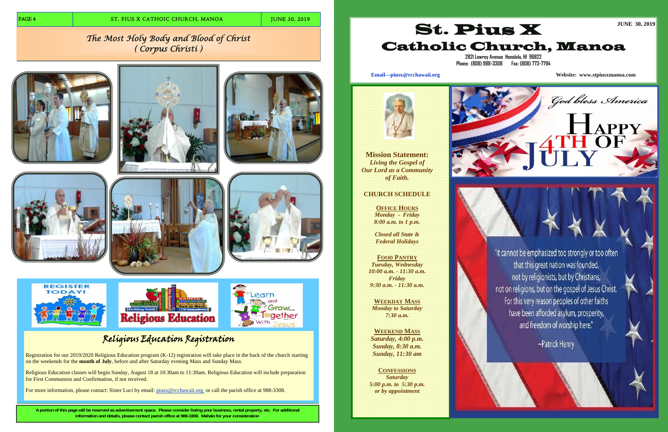**A portion of this page will be reserved as advertisement space. Please consider listing your business, rental property, etc. For additional information and details, please contact parish office at 988-3308. Mahalo for your consideration.** 

# Religious Education Registration

Registration for our 2019/2020 Religious Education program (K-12) registration will take place in the back of the church starting on the weekends for the **month of July**, before and after Saturday evening Mass and Sunday Mass.

Religious Education classes will begin Sunday, August 18 at 10:30am to 11:30am. Religious Education will include preparation for First Communion and Confirmation, if not received.

For more information, please contact: Sister Luci by email: piusx@rcchawaii.org or call the parish office at 988-3308.

# *The Most Holy Body and Blood of Christ ( Corpus Christi )*



















**Mission Statement:**  *Living the Gospel of Our Lord as a Community of Faith.* 

# **CHURCH SCHEDULE**

**OFFICE HOURS** *Monday - Friday 8:00 a.m. to 1 p.m.* 

*Closed all State & Federal Holidays* 

**FOOD PANTRY***Tuesday, Wednesday 10:00 a.m. - 11:30 a.m. Friday 9:30 a.m. - 11:30 a.m.* 

**WEEKDAY MASS***Monday to Saturday 7:30 a.m.* 

**WEEKEND MASS** *Saturday, 4:00 p.m. Sunday, 8:30 a.m. Sunday, 11:30 am* 

**CONFESSIONS** *Saturday 5:00 p.m. to 5:30 p.m. or by appointment* 



# St. Pius X Catholic Church, Manoa





**2821 Lowrey Avenue Honolulu, HI 96822 Phone: (808) 988-3308 Fax: (808) 773-7794** 

**Email—piusx@rcchawaii.org Website: www.stpiusxmanoa.com**

God bless America

"It cannot be emphasized too strongly or too often that this great nation was founded, not by religionists, but by Christians; not on religions, but on the gospel of Jesus Christ. For this very reason peoples of other faiths have been afforded asylum, prosperity, and freedom of worship here."

~Patrick Henry

**JUNE 30, 2019**